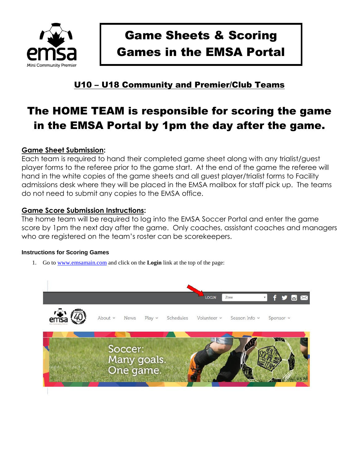

# Game Sheets & Scoring Games in the EMSA Portal

# U10 – U18 Community and Premier/Club Teams

# The HOME TEAM is responsible for scoring the game in the EMSA Portal by 1pm the day after the game.

## **Game Sheet Submission:**

Each team is required to hand their completed game sheet along with any trialist/guest player forms to the referee prior to the game start. At the end of the game the referee will hand in the white copies of the game sheets and all guest player/trialist forms to Facility admissions desk where they will be placed in the EMSA mailbox for staff pick up. The teams do not need to submit any copies to the EMSA office.

### **Game Score Submission Instructions:**

The home team will be required to log into the EMSA Soccer Portal and enter the game score by 1pm the next day after the game. Only coaches, assistant coaches and managers who are registered on the team's roster can be scorekeepers.

### **Instructions for Scoring Games**

1. Go to [www.emsamain.com](http://www.emsamain.com/) and click on the **Login** link at the top of the page:

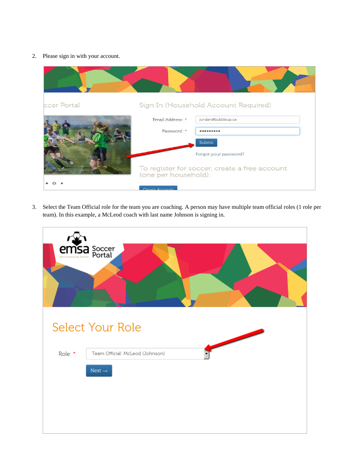2. Please sign in with your account.



3. Select the Team Official role for the team you are coaching. A person may have multiple team official roles (1 role per team). In this example, a McLeod coach with last name Johnson is signing in.

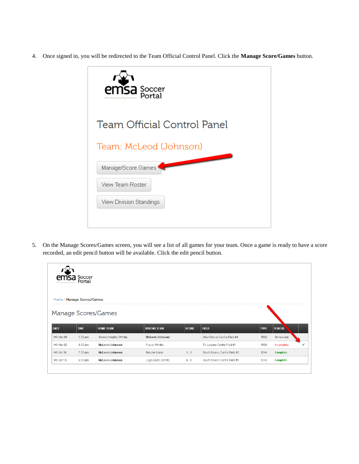4. Once signed in, you will be redirected to the Team Official Control Panel. Click the **Manage Score/Games** button.



5. On the Manage Scores/Games screen, you will see a list of all games for your team. Once a game is ready to have a score recorded, an edit pencil button will be available. Click the edit pencil button.

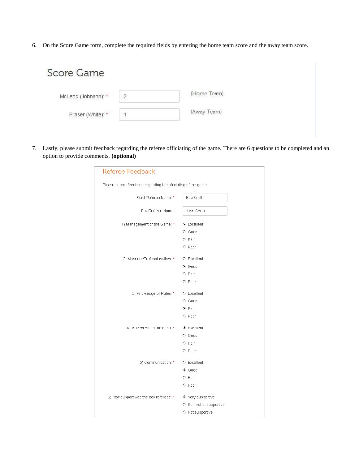6. On the Score Game form, complete the required fields by entering the home team score and the away team score.

| Score Game          |              |             |  |
|---------------------|--------------|-------------|--|
| McLeod (Johnson): * | $\mathbf{2}$ | (Home Team) |  |
| Fraser (White): *   |              | (Away Team) |  |
|                     |              |             |  |

7. Lastly, please submit feedback regarding the referee officiating of the game. There are 6 questions to be completed and an option to provide comments. **(optional)**

| <b>Referee Feedback</b>                                       |                                   |
|---------------------------------------------------------------|-----------------------------------|
| Please submit feedback regarding the officiating of the game. |                                   |
| Field Referee Name: *                                         | Bob Smith                         |
| Box Referee Name:                                             | John Smith                        |
| 1) Management of the Game: *                                  | ⊙ Excellent<br>$C$ Good<br>C Fair |
|                                                               | O Poor                            |
| 2) Manners/Professionalism: *                                 | C Excellent<br>⊙ Good             |
|                                                               | C Fair                            |
|                                                               | C Poor                            |
| 3) Knowledge of Rules: * C Excellent                          | $C$ Good                          |
|                                                               | ⊙ Fair                            |
|                                                               | $O$ Poor                          |
| 4) Movement on the Field: * © Excellent                       |                                   |
|                                                               | $C$ Good<br>C Fair                |
|                                                               | C Poor                            |
| 5) Communication: *                                           | <b>C</b> Excellent                |
|                                                               | ⊙ Good                            |
|                                                               | C Fair                            |
|                                                               | C Poor                            |
| 6) How support was the box refereee: *                        | $\odot$ Very supportive           |
|                                                               | C Somewhat supportive             |
|                                                               | O Not supportive                  |